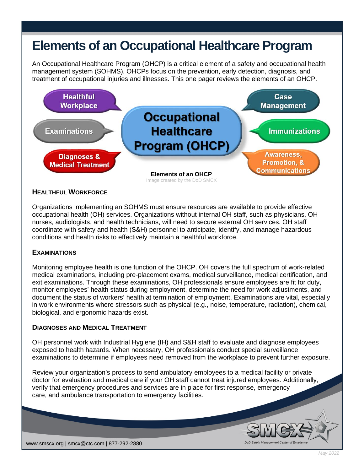# **Elements of an Occupational Healthcare Program**

An Occupational Healthcare Program (OHCP) is a critical element of a safety and occupational health management system (SOHMS). OHCPs focus on the prevention, early detection, diagnosis, and treatment of occupational injuries and illnesses. This one pager reviews the elements of an OHCP.



## **HEALTHFUL WORKFORCE**

Organizations implementing an SOHMS must ensure resources are available to provide effective occupational health (OH) services. Organizations without internal OH staff, such as physicians, OH nurses, audiologists, and health technicians, will need to secure external OH services. OH staff coordinate with safety and health (S&H) personnel to anticipate, identify, and manage hazardous conditions and health risks to effectively maintain a healthful workforce.

## **EXAMINATIONS**

Monitoring employee health is one function of the OHCP. OH covers the full spectrum of work-related medical examinations, including pre-placement exams, medical surveillance, medical certification, and exit examinations. Through these examinations, OH professionals ensure employees are fit for duty, monitor employees' health status during employment, determine the need for work adjustments, and document the status of workers' health at termination of employment. Examinations are vital, especially in work environments where stressors such as physical (e.g., noise, temperature, radiation), chemical, biological, and ergonomic hazards exist.

### **DIAGNOSES AND MEDICAL TREATMENT**

OH personnel work with Industrial Hygiene (IH) and S&H staff to evaluate and diagnose employees exposed to health hazards. When necessary, OH professionals conduct special surveillance examinations to determine if employees need removed from the workplace to prevent further exposure.

Review your organization's process to send ambulatory employees to a medical facility or private doctor for evaluation and medical care if your OH staff cannot treat injured employees. Additionally, verify that emergency procedures and services are in place for first response, emergency care, and ambulance transportation to emergency facilities.